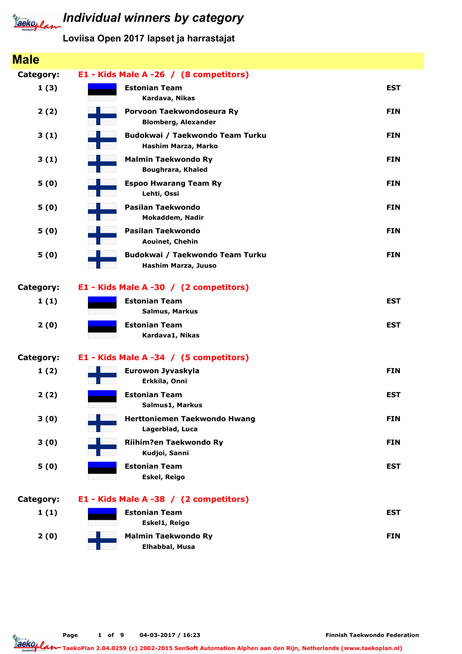

# **Individual winners by category**

### Loviisa Open 2017 lapset ja harrastajat

| <b>Male</b> |                                                         |            |
|-------------|---------------------------------------------------------|------------|
| Category:   | E1 - Kids Male A -26 / (8 competitors)                  |            |
| 1(3)        | <b>Estonian Team</b><br>Kardava, Nikas                  | <b>EST</b> |
| 2(2)        | Porvoon Taekwondoseura Ry<br><b>Blomberg, Alexander</b> | <b>FIN</b> |
| 3(1)        | Budokwai / Taekwondo Team Turku<br>Hashim Marza, Marko  | <b>FIN</b> |
| 3(1)        | <b>Malmin Taekwondo Ry</b><br><b>Boughrara, Khaled</b>  | <b>FIN</b> |
| 5(0)        | <b>Espoo Hwarang Team Ry</b><br>Lehti, Ossi             | <b>FIN</b> |
| 5(0)        | Pasilan Taekwondo<br>Mokaddem, Nadir                    | <b>FIN</b> |
| 5(0)        | Pasilan Taekwondo<br>Aouinet, Chehin                    | <b>FIN</b> |
| 5(0)        | Budokwai / Taekwondo Team Turku<br>Hashim Marza, Juuso  | <b>FIN</b> |
| Category:   | E1 - Kids Male A -30 / (2 competitors)                  |            |
| 1(1)        | <b>Estonian Team</b><br><b>Salmus, Markus</b>           | <b>EST</b> |
| 2(0)        | <b>Estonian Team</b><br>Kardava1, Nikas                 | <b>EST</b> |
| Category:   | E1 - Kids Male A -34 / (5 competitors)                  |            |
| 1(2)        | Eurowon Jyvaskyla<br>Erkkila, Onni                      | <b>FIN</b> |
| 2(2)        | <b>Estonian Team</b><br>Salmus1, Markus                 | <b>EST</b> |
| 3(0)        | Herttoniemen Taekwondo Hwang<br>Lagerblad, Luca         | <b>FIN</b> |
| 3(0)        | Riihim?en Taekwondo Ry<br>Kudjoi, Sanni                 | <b>FIN</b> |
| 5(0)        | <b>Estonian Team</b><br>Eskel, Reigo                    | <b>EST</b> |
| Category:   | E1 - Kids Male A -38 / (2 competitors)                  |            |
| 1(1)        | <b>Estonian Team</b><br>Eskel1, Reigo                   | <b>EST</b> |
| 2(0)        | <b>Malmin Taekwondo Ry</b><br>Elhabbal, Musa            | <b>FIN</b> |

Page 1 of 9 04-03-2017 / 16:23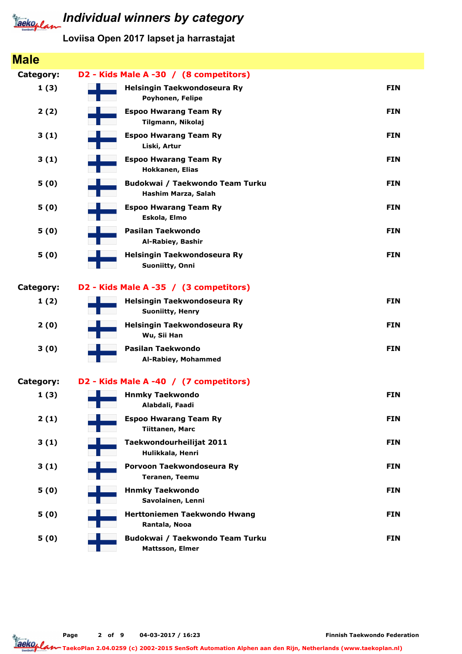

| <b>Male</b> |                                                           |            |
|-------------|-----------------------------------------------------------|------------|
| Category:   | D2 - Kids Male A -30 / (8 competitors)                    |            |
| 1(3)        | Helsingin Taekwondoseura Ry<br>Poyhonen, Felipe           | <b>FIN</b> |
| 2(2)        | <b>Espoo Hwarang Team Ry</b><br>Tilgmann, Nikolaj         | <b>FIN</b> |
| 3(1)        | <b>Espoo Hwarang Team Ry</b><br>Liski, Artur              | <b>FIN</b> |
| 3(1)        | <b>Espoo Hwarang Team Ry</b><br>Hokkanen, Elias           | <b>FIN</b> |
| 5(0)        | Budokwai / Taekwondo Team Turku<br>Hashim Marza, Salah    | <b>FIN</b> |
| 5(0)        | <b>Espoo Hwarang Team Ry</b><br>Eskola, Elmo              | <b>FIN</b> |
| 5(0)        | Pasilan Taekwondo<br>Al-Rabiey, Bashir                    | <b>FIN</b> |
| 5(0)        | Helsingin Taekwondoseura Ry<br>Suoniitty, Onni            | <b>FIN</b> |
| Category:   | D2 - Kids Male A -35 / (3 competitors)                    |            |
| 1(2)        | Helsingin Taekwondoseura Ry<br><b>Suoniitty, Henry</b>    | <b>FIN</b> |
| 2(0)        | Helsingin Taekwondoseura Ry<br>Wu, Sii Han                | <b>FIN</b> |
| 3(0)        | Pasilan Taekwondo<br>Al-Rabiey, Mohammed                  | <b>FIN</b> |
| Category:   | D2 - Kids Male A -40 / (7 competitors)                    |            |
| 1(3)        | <b>Hnmky Taekwondo</b><br>Alabdali, Faadi                 | <b>FIN</b> |
| 2(1)        | <b>Espoo Hwarang Team Ry</b><br><b>Tiittanen, Marc</b>    | <b>FIN</b> |
| 3(1)        | Taekwondourheilijat 2011<br>Hulikkala, Henri              | <b>FIN</b> |
| 3(1)        | Porvoon Taekwondoseura Ry<br><b>Teranen, Teemu</b>        | <b>FIN</b> |
| 5(0)        | <b>Hnmky Taekwondo</b><br>Savolainen, Lenni               | <b>FIN</b> |
| 5(0)        | Herttoniemen Taekwondo Hwang<br>Rantala, Nooa             | <b>FIN</b> |
| 5(0)        | Budokwai / Taekwondo Team Turku<br><b>Mattsson, Elmer</b> | <b>FIN</b> |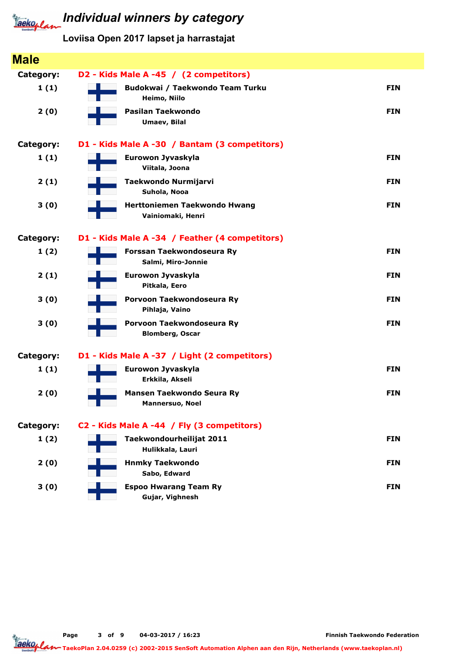

Loviisa Open 2017 lapset ja harrastajat

| <b>Male</b>      |                                                          |            |
|------------------|----------------------------------------------------------|------------|
| <b>Category:</b> | D2 - Kids Male A -45 / (2 competitors)                   |            |
| 1(1)             | Budokwai / Taekwondo Team Turku<br>Heimo, Niilo          | <b>FIN</b> |
| 2(0)             | Pasilan Taekwondo<br>Umaev, Bilal                        | <b>FIN</b> |
| <b>Category:</b> | D1 - Kids Male A -30 / Bantam (3 competitors)            |            |
| 1(1)             | Eurowon Jyvaskyla<br>Viitala, Joona                      | <b>FIN</b> |
| 2(1)             | <b>Taekwondo Nurmijarvi</b><br>Suhola, Nooa              | <b>FIN</b> |
| 3(0)             | <b>Herttoniemen Taekwondo Hwang</b><br>Vainiomaki, Henri | <b>FIN</b> |
| <b>Category:</b> | D1 - Kids Male A -34 / Feather (4 competitors)           |            |
| 1(2)             | Forssan Taekwondoseura Ry<br>Salmi, Miro-Jonnie          | <b>FIN</b> |
| 2(1)             | Eurowon Jyvaskyla<br>Pitkala, Eero                       | <b>FIN</b> |
| 3(0)             | Porvoon Taekwondoseura Ry<br>Pihlaja, Vaino              | <b>FIN</b> |
| 3(0)             | Porvoon Taekwondoseura Ry<br><b>Blomberg, Oscar</b>      | <b>FIN</b> |
| <b>Category:</b> | D1 - Kids Male A -37 / Light (2 competitors)             |            |
| 1(1)             | Eurowon Jyvaskyla<br>Erkkila, Akseli                     | <b>FIN</b> |
| 2(0)             | Mansen Taekwondo Seura Ry<br><b>Mannersuo, Noel</b>      | <b>FIN</b> |
| <b>Category:</b> | C2 - Kids Male A -44 / Fly (3 competitors)               |            |
| 1(2)             | Taekwondourheilijat 2011<br>Hulikkala, Lauri             | <b>FIN</b> |
| 2(0)             | <b>Hnmky Taekwondo</b><br>Sabo, Edward                   | <b>FIN</b> |
| 3(0)             | <b>Espoo Hwarang Team Ry</b><br>Gujar, Vighnesh          | <b>FIN</b> |

Page 3 of 9 04-03-2017 / 16:23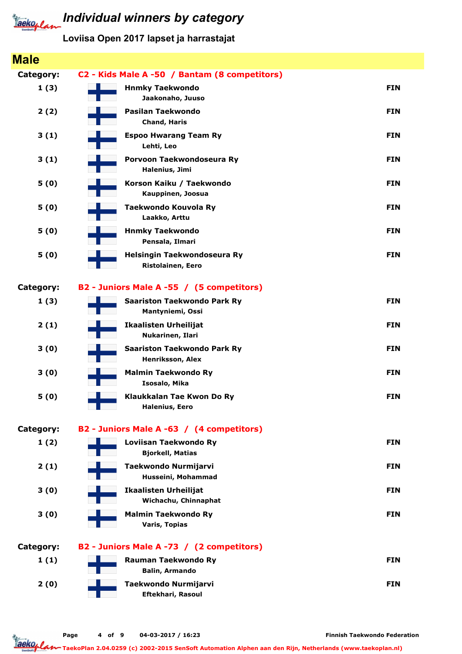

### Individual winners by category

Loviisa Open 2017 lapset ja harrastajat

#### Male Category: C2 - Kids Male A -50 / Bantam (8 competitors) 1 (3) Jaakonaho, Juuso Hnmky Taekwondo FIN 2 (2) Chand, Haris Pasilan Taekwondo FIN and the Second Second Second Second Second Second Second Second Second Second Second Second Second Second Second Second Second Second Second Second Second Second Second Second Second Second Second Sec 3 (1) Lehti, Leo Espoo Hwarang Team Ry FIN 3 (1) Halenius, Jimi Porvoon Taekwondoseura Ry FINN 1999 (Februari 1999) and FINN 1999 (FINN) 5 (0) Kauppinen, Joosua Korson Kaiku / Taekwondo FIN 5 (0) Laakko, Arttu Taekwondo Kouvola Ry **FIN** 5 (0) Pensala, Ilmari Hnmky Taekwondo FIN 5 (0) Ristolainen, Eero Helsingin Taekwondoseura Ry FIN Category: B2 - Juniors Male A -55 / (5 competitors) 1 (3) Mantyniemi, Ossi Saariston Taekwondo Park Ry FIN 2 (1) Nukarinen, Ilari Ikaalisten Urheilijat FIN 3 (0) Henriksson, Alex Saariston Taekwondo Park Ry Francusco Communication of the FIN 3 (0) Isosalo, Mika Malmin Taekwondo Ry **FIN** 5 (0) Halenius, Eero Klaukkalan Tae Kwon Do Ry FIN Category: B2 - Juniors Male A -63 / (4 competitors)  $1(2)$ Bjorkell, Matias Loviisan Taekwondo Ry **Film and South American Contract Contract** Film and Tag  $2(1)$ Husseini, Mohammad Taekwondo Nurmijarvi FIN 3 (0) Wichachu, Chinnaphat **Ikaalisten Urheilijat FIN** 3 (0) Varis, Topias Malmin Taekwondo Ry **FIN** Category: B2 - Juniors Male A -73 / (2 competitors)  $1(1)$ Balin, Armando Rauman Taekwondo Ry **FIN** 2 (0) Eftekhari, Rasoul Taekwondo Nurmijarvi FIN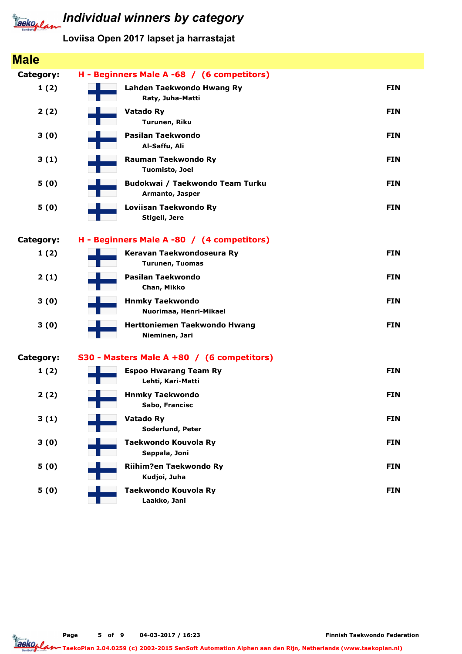

### Loviisa Open 2017 lapset ja harrastajat

| <b>Male</b> |                                                    |            |
|-------------|----------------------------------------------------|------------|
| Category:   | H - Beginners Male A -68 / (6 competitors)         |            |
| 1(2)        | Lahden Taekwondo Hwang Ry<br>Raty, Juha-Matti      | <b>FIN</b> |
| 2(2)        | <b>Vatado Ry</b><br>Turunen, Riku                  | <b>FIN</b> |
| 3(0)        | Pasilan Taekwondo<br>Al-Saffu, Ali                 | <b>FIN</b> |
| 3(1)        | <b>Rauman Taekwondo Ry</b><br>Tuomisto, Joel       | <b>FIN</b> |
| 5(0)        | Budokwai / Taekwondo Team Turku<br>Armanto, Jasper | <b>FIN</b> |
| 5(0)        | Loviisan Taekwondo Ry<br><b>Stigell, Jere</b>      | <b>FIN</b> |
| Category:   | H - Beginners Male A -80 / (4 competitors)         |            |
| 1(2)        | Keravan Taekwondoseura Ry<br>Turunen, Tuomas       | <b>FIN</b> |
| 2(1)        | Pasilan Taekwondo<br>Chan, Mikko                   | <b>FIN</b> |
| 3(0)        | <b>Hnmky Taekwondo</b><br>Nuorimaa, Henri-Mikael   | <b>FIN</b> |
| 3(0)        | Herttoniemen Taekwondo Hwang<br>Nieminen, Jari     | <b>FIN</b> |
| Category:   | S30 - Masters Male A +80 / (6 competitors)         |            |
| 1(2)        | <b>Espoo Hwarang Team Ry</b><br>Lehti, Kari-Matti  | <b>FIN</b> |
| 2(2)        | <b>Hnmky Taekwondo</b><br>Sabo, Francisc           | <b>FIN</b> |
| 3(1)        | Vatado Ry<br>Soderlund, Peter                      | <b>FIN</b> |
| 3(0)        | Taekwondo Kouvola Ry<br>Seppala, Joni              | <b>FIN</b> |
| 5(0)        | Riihim?en Taekwondo Ry<br>Kudjoi, Juha             | <b>FIN</b> |
| 5(0)        | Taekwondo Kouvola Ry<br>Laakko, Jani               | <b>FIN</b> |

Page 5 of 9 04-03-2017 / 16:23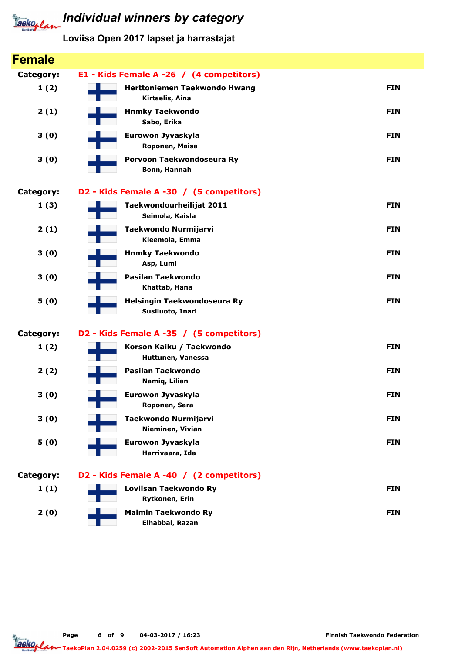

| <b>Female</b>    |                                                 |            |
|------------------|-------------------------------------------------|------------|
| <b>Category:</b> | E1 - Kids Female A -26 / (4 competitors)        |            |
| 1(2)             | Herttoniemen Taekwondo Hwang<br>Kirtselis, Aina | <b>FIN</b> |
| 2(1)             | <b>Hnmky Taekwondo</b><br>Sabo, Erika           | <b>FIN</b> |
| 3(0)             | Eurowon Jyvaskyla<br>Roponen, Maisa             | <b>FIN</b> |
| 3(0)             | Porvoon Taekwondoseura Ry<br>Bonn, Hannah       | <b>FIN</b> |
| <b>Category:</b> | D2 - Kids Female A -30 / (5 competitors)        |            |
| 1(3)             | Taekwondourheilijat 2011<br>Seimola, Kaisla     | <b>FIN</b> |
| 2(1)             | Taekwondo Nurmijarvi<br>Kleemola, Emma          | <b>FIN</b> |
| 3(0)             | <b>Hnmky Taekwondo</b><br>Asp, Lumi             | <b>FIN</b> |
| 3(0)             | Pasilan Taekwondo<br>Khattab, Hana              | <b>FIN</b> |
| 5(0)             | Helsingin Taekwondoseura Ry<br>Susiluoto, Inari | <b>FIN</b> |
| <b>Category:</b> | D2 - Kids Female A -35 / (5 competitors)        |            |
| 1(2)             | Korson Kaiku / Taekwondo<br>Huttunen, Vanessa   | <b>FIN</b> |
| 2(2)             | Pasilan Taekwondo<br>Namiq, Lilian              | <b>FIN</b> |
| 3(0)             | Eurowon Jyvaskyla<br>Roponen, Sara              | <b>FIN</b> |
| 3(0)             | Taekwondo Nurmijarvi<br>Nieminen, Vivian        | <b>FIN</b> |
| 5(0)             | Eurowon Jyvaskyla<br>Harrivaara, Ida            | <b>FIN</b> |
| <b>Category:</b> | D2 - Kids Female A -40 / (2 competitors)        |            |
| 1(1)             | Loviisan Taekwondo Ry<br>Rytkonen, Erin         | <b>FIN</b> |
| 2(0)             | <b>Malmin Taekwondo Ry</b><br>Elhabbal, Razan   | <b>FIN</b> |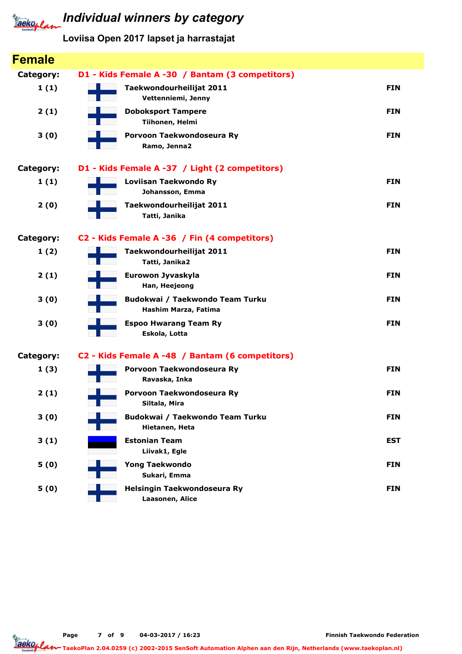

### Loviisa Open 2017 lapset ja harrastajat

| <b>Female</b> |                                                         |            |
|---------------|---------------------------------------------------------|------------|
| Category:     | D1 - Kids Female A -30 / Bantam (3 competitors)         |            |
| 1(1)          | Taekwondourheilijat 2011<br>Vettenniemi, Jenny          | <b>FIN</b> |
| 2(1)          | <b>Doboksport Tampere</b><br>Tiihonen, Helmi            | <b>FIN</b> |
| 3(0)          | Porvoon Taekwondoseura Ry<br>Ramo, Jenna2               | <b>FIN</b> |
| Category:     | D1 - Kids Female A -37 / Light (2 competitors)          |            |
| 1(1)          | Loviisan Taekwondo Ry<br>Johansson, Emma                | <b>FIN</b> |
| 2(0)          | Taekwondourheilijat 2011<br>Tatti, Janika               | <b>FIN</b> |
| Category:     | C2 - Kids Female A -36 / Fin (4 competitors)            |            |
| 1(2)          | Taekwondourheilijat 2011<br>Tatti, Janika2              | <b>FIN</b> |
| 2(1)          | Eurowon Jyvaskyla<br>Han, Heejeong                      | <b>FIN</b> |
| 3(0)          | Budokwai / Taekwondo Team Turku<br>Hashim Marza, Fatima | <b>FIN</b> |
| 3(0)          | <b>Espoo Hwarang Team Ry</b><br>Eskola, Lotta           | <b>FIN</b> |
| Category:     | C2 - Kids Female A -48 / Bantam (6 competitors)         |            |
| 1(3)          | Porvoon Taekwondoseura Ry<br>Ravaska, Inka              | <b>FIN</b> |
| 2(1)          | Porvoon Taekwondoseura Ry<br>Siltala, Mira              | <b>FIN</b> |
| 3(0)          | Budokwai / Taekwondo Team Turku<br>Hietanen, Heta       | <b>FIN</b> |
| 3(1)          | <b>Estonian Team</b><br>Liivak1, Egle                   | <b>EST</b> |
| 5(0)          | <b>Yong Taekwondo</b><br>Sukari, Emma                   | <b>FIN</b> |
| 5(0)          | Helsingin Taekwondoseura Ry<br>Laasonen, Alice          | <b>FIN</b> |

Page 7 of 9 04-03-2017 / 16:23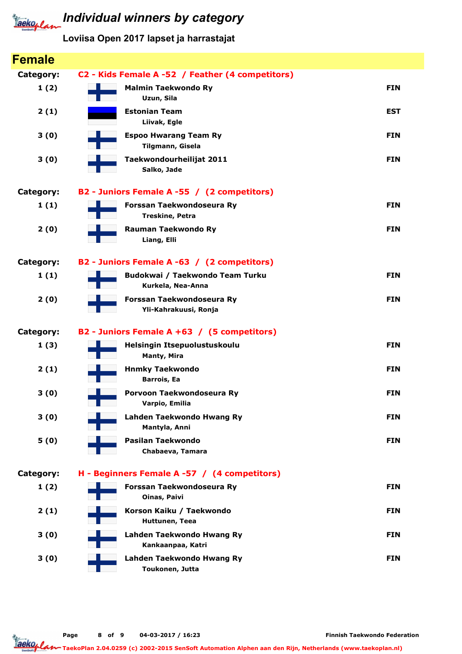

| <b>Female</b> |                                                      |            |
|---------------|------------------------------------------------------|------------|
| Category:     | C2 - Kids Female A -52 / Feather (4 competitors)     |            |
| 1(2)          | <b>Malmin Taekwondo Ry</b><br>Uzun, Sila             | <b>FIN</b> |
| 2(1)          | <b>Estonian Team</b><br>Liivak, Egle                 | <b>EST</b> |
| 3(0)          | <b>Espoo Hwarang Team Ry</b><br>Tilgmann, Gisela     | <b>FIN</b> |
| 3(0)          | Taekwondourheilijat 2011<br>Salko, Jade              | <b>FIN</b> |
| Category:     | B2 - Juniors Female A -55 / (2 competitors)          |            |
| 1(1)          | Forssan Taekwondoseura Ry<br>Treskine, Petra         | <b>FIN</b> |
| 2(0)          | Rauman Taekwondo Ry<br>Liang, Elli                   | <b>FIN</b> |
| Category:     | B2 - Juniors Female A -63 / (2 competitors)          |            |
| 1(1)          | Budokwai / Taekwondo Team Turku<br>Kurkela, Nea-Anna | <b>FIN</b> |
| 2(0)          | Forssan Taekwondoseura Ry<br>Yli-Kahrakuusi, Ronja   | <b>FIN</b> |
| Category:     | B2 - Juniors Female A +63 / (5 competitors)          |            |
| 1(3)          | Helsingin Itsepuolustuskoulu<br>Manty, Mira          | <b>FIN</b> |
| 2(1)          | <b>Hnmky Taekwondo</b><br><b>Barrois, Ea</b>         | <b>FIN</b> |
| 3(0)          | Porvoon Taekwondoseura Ry<br>Varpio, Emilia          | <b>FIN</b> |
| 3(0)          | Lahden Taekwondo Hwang Ry<br>Mantyla, Anni           | <b>FIN</b> |
| 5(0)          | Pasilan Taekwondo<br>Chabaeva, Tamara                | <b>FIN</b> |
| Category:     | H - Beginners Female A -57 / (4 competitors)         |            |
| 1(2)          | Forssan Taekwondoseura Ry<br><b>Oinas, Paivi</b>     | <b>FIN</b> |
| 2(1)          | Korson Kaiku / Taekwondo<br>Huttunen, Teea           | <b>FIN</b> |
| 3(0)          | Lahden Taekwondo Hwang Ry<br>Kankaanpaa, Katri       | <b>FIN</b> |
| 3(0)          | Lahden Taekwondo Hwang Ry<br>Toukonen, Jutta         | <b>FIN</b> |